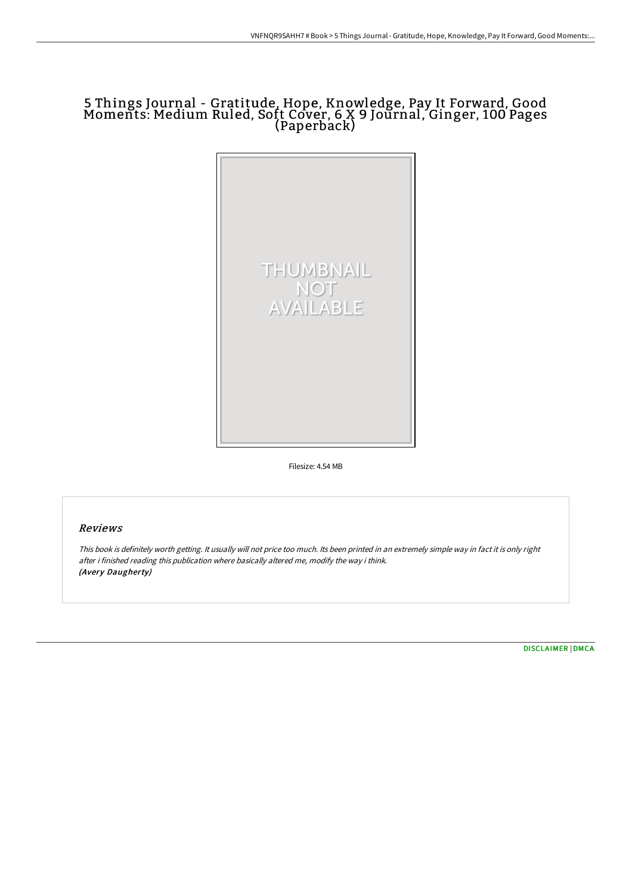# 5 Things Journal - Gratitude, Hope, Knowledge, Pay It Forward, Good Moments: Medium Ruled, Soft Cover, 6 X 9 Journal, Ginger, 100 Pages (Paperback)



Filesize: 4.54 MB

## Reviews

This book is definitely worth getting. It usually will not price too much. Its been printed in an extremely simple way in fact it is only right after i finished reading this publication where basically altered me, modify the way i think. (Avery Daugherty)

[DISCLAIMER](http://techno-pub.tech/disclaimer.html) | [DMCA](http://techno-pub.tech/dmca.html)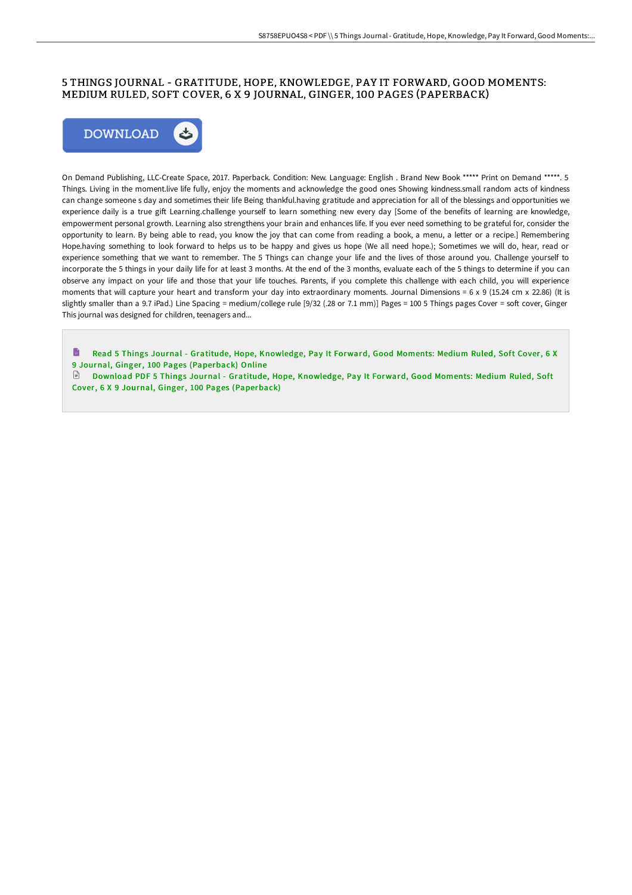## 5 THINGS JOURNAL - GRATITUDE, HOPE, KNOWLEDGE, PAY IT FORWARD, GOOD MOMENTS: MEDIUM RULED, SOFT COVER, 6 X 9 JOURNAL, GINGER, 100 PAGES (PAPERBACK)



On Demand Publishing, LLC-Create Space, 2017. Paperback. Condition: New. Language: English . Brand New Book \*\*\*\*\* Print on Demand \*\*\*\*\*. 5 Things. Living in the moment.live life fully, enjoy the moments and acknowledge the good ones Showing kindness.small random acts of kindness can change someone s day and sometimes their life Being thankful.having gratitude and appreciation for all of the blessings and opportunities we experience daily is a true gift Learning.challenge yourself to learn something new every day [Some of the benefits of learning are knowledge, empowerment personal growth. Learning also strengthens your brain and enhances life. If you ever need something to be grateful for, consider the opportunity to learn. By being able to read, you know the joy that can come from reading a book, a menu, a letter or a recipe.] Remembering Hope.having something to look forward to helps us to be happy and gives us hope (We all need hope.); Sometimes we will do, hear, read or experience something that we want to remember. The 5 Things can change your life and the lives of those around you. Challenge yourself to incorporate the 5 things in your daily life for at least 3 months. At the end of the 3 months, evaluate each of the 5 things to determine if you can observe any impact on your life and those that your life touches. Parents, if you complete this challenge with each child, you will experience moments that will capture your heart and transform your day into extraordinary moments. Journal Dimensions =  $6 \times 9$  (15.24 cm x 22.86) (It is slightly smaller than a 9.7 iPad.) Line Spacing = medium/college rule [9/32 (.28 or 7.1 mm)] Pages = 100 5 Things pages Cover = soft cover, Ginger This journal was designed for children, teenagers and...

h Read 5 Things Journal - Gratitude, Hope, Knowledge, Pay It Forward, Good Moments: Medium Ruled, Soft Cover, 6 X 9 Journal, Ginger, 100 Pages [\(Paperback\)](http://techno-pub.tech/5-things-journal-gratitude-hope-knowledge-pay-it-5.html) Online

Download PDF 5 Things Journal - Gratitude, Hope, Knowledge, Pay It Forward, Good Moments: Medium Ruled, Soft Cover, 6 X 9 Journal, Ginger, 100 Pages [\(Paperback\)](http://techno-pub.tech/5-things-journal-gratitude-hope-knowledge-pay-it-5.html)